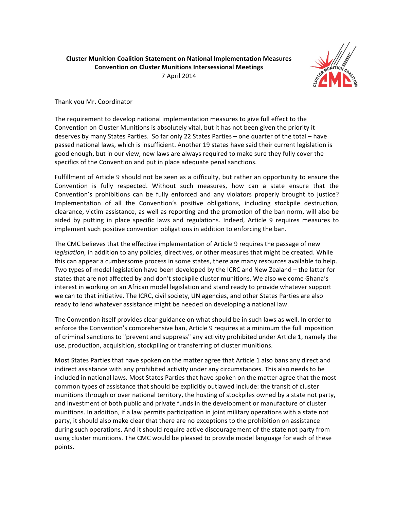## **Cluster Munition Coalition Statement on National Implementation Measures Convention on Cluster Munitions Intersessional Meetings** 7!April!2014



Thank you Mr. Coordinator

The requirement to develop national implementation measures to give full effect to the Convention on Cluster Munitions is absolutely vital, but it has not been given the priority it deserves by many States Parties. So far only 22 States Parties – one quarter of the total – have passed national laws, which is insufficient. Another 19 states have said their current legislation is good enough, but in our view, new laws are always required to make sure they fully cover the specifics of the Convention and put in place adequate penal sanctions.

Fulfillment of Article 9 should not be seen as a difficulty, but rather an opportunity to ensure the Convention is fully respected. Without such measures, how can a state ensure that the Convention's prohibitions can be fully enforced and any violators properly brought to justice? Implementation of all the Convention's positive obligations, including stockpile destruction, clearance, victim assistance, as well as reporting and the promotion of the ban norm, will also be aided by putting in place specific laws and regulations. Indeed, Article 9 requires measures to implement such positive convention obligations in addition to enforcing the ban.

The CMC believes that the effective implementation of Article 9 requires the passage of new *legislation*, in addition to any policies, directives, or other measures that might be created. While this can appear a cumbersome process in some states, there are many resources available to help. Two types of model legislation have been developed by the ICRC and New Zealand – the latter for states that are not affected by and don't stockpile cluster munitions. We also welcome Ghana's interest in working on an African model legislation and stand ready to provide whatever support we can to that initiative. The ICRC, civil society, UN agencies, and other States Parties are also ready to lend whatever assistance might be needed on developing a national law.

The Convention itself provides clear guidance on what should be in such laws as well. In order to enforce the Convention's comprehensive ban, Article 9 requires at a minimum the full imposition of criminal sanctions to "prevent and suppress" any activity prohibited under Article 1, namely the use, production, acquisition, stockpiling or transferring of cluster munitions.

Most States Parties that have spoken on the matter agree that Article 1 also bans any direct and indirect assistance with any prohibited activity under any circumstances. This also needs to be included in national laws. Most States Parties that have spoken on the matter agree that the most common types of assistance that should be explicitly outlawed include: the transit of cluster munitions through or over national territory, the hosting of stockpiles owned by a state not party, and investment of both public and private funds in the development or manufacture of cluster munitions. In addition, if a law permits participation in joint military operations with a state not party, it should also make clear that there are no exceptions to the prohibition on assistance during such operations. And it should require active discouragement of the state not party from using cluster munitions. The CMC would be pleased to provide model language for each of these points.